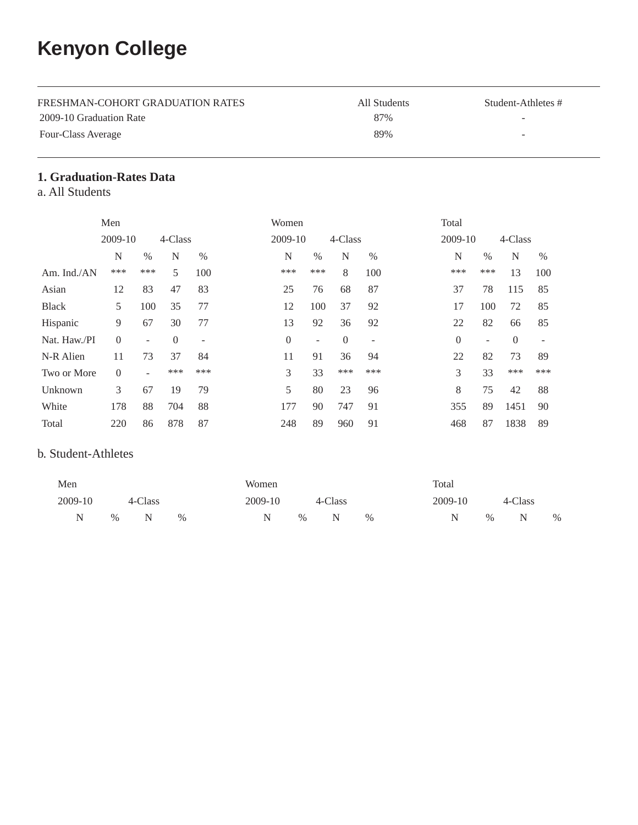# **Kenyon College**

| FRESHMAN-COHORT GRADUATION RATES | All Students | Student-Athletes #       |
|----------------------------------|--------------|--------------------------|
| 2009-10 Graduation Rate          | 87%          | $\sim$                   |
| Four-Class Average               | 89%          | $\overline{\phantom{a}}$ |

## **1. Graduation-Rates Data**

a. All Students

|                | Men      |                          |          |                          | Women          |                          |          |                          | Total    |      |          |      |
|----------------|----------|--------------------------|----------|--------------------------|----------------|--------------------------|----------|--------------------------|----------|------|----------|------|
|                | 2009-10  |                          | 4-Class  |                          | 2009-10        |                          | 4-Class  |                          | 2009-10  |      | 4-Class  |      |
|                | N        | $\%$                     | N        | $\%$                     | N              | %                        | N        | $\%$                     | N        | $\%$ | N        | $\%$ |
| Am. Ind./ $AN$ | ***      | ***                      | 5        | 100                      | ***            | ***                      | 8        | 100                      | ***      | ***  | 13       | 100  |
| Asian          | 12       | 83                       | 47       | 83                       | 25             | 76                       | 68       | 87                       | 37       | 78   | 115      | 85   |
| <b>Black</b>   | 5        | 100                      | 35       | 77                       | 12             | 100                      | 37       | 92                       | 17       | 100  | 72       | 85   |
| Hispanic       | 9        | 67                       | 30       | 77                       | 13             | 92                       | 36       | 92                       | 22       | 82   | 66       | 85   |
| Nat. Haw./PI   | $\Omega$ | $\overline{\phantom{a}}$ | $\theta$ | $\overline{\phantom{a}}$ | $\overline{0}$ | $\overline{\phantom{a}}$ | $\theta$ | $\overline{\phantom{a}}$ | $\theta$ |      | $\Omega$ |      |
| N-R Alien      | 11       | 73                       | 37       | 84                       | 11             | 91                       | 36       | 94                       | 22       | 82   | 73       | 89   |
| Two or More    | $\Omega$ | $\overline{\phantom{a}}$ | ***      | ***                      | 3              | 33                       | ***      | ***                      | 3        | 33   | ***      | ***  |
| Unknown        | 3        | 67                       | 19       | 79                       | 5              | 80                       | 23       | 96                       | 8        | 75   | 42       | 88   |
| White          | 178      | 88                       | 704      | 88                       | 177            | 90                       | 747      | 91                       | 355      | 89   | 1451     | 90   |
| Total          | 220      | 86                       | 878      | 87                       | 248            | 89                       | 960      | 91                       | 468      | 87   | 1838     | 89   |

### b. Student-Athletes

| Men     |      |         |      | Women   |      |         |      | Total |         |      |         |   |
|---------|------|---------|------|---------|------|---------|------|-------|---------|------|---------|---|
| 2009-10 |      | 4-Class |      | 2009-10 |      | 4-Class |      |       | 2009-10 |      | 4-Class |   |
| N       | $\%$ |         | $\%$ | N       | $\%$ | N       | $\%$ |       |         | $\%$ | N       | % |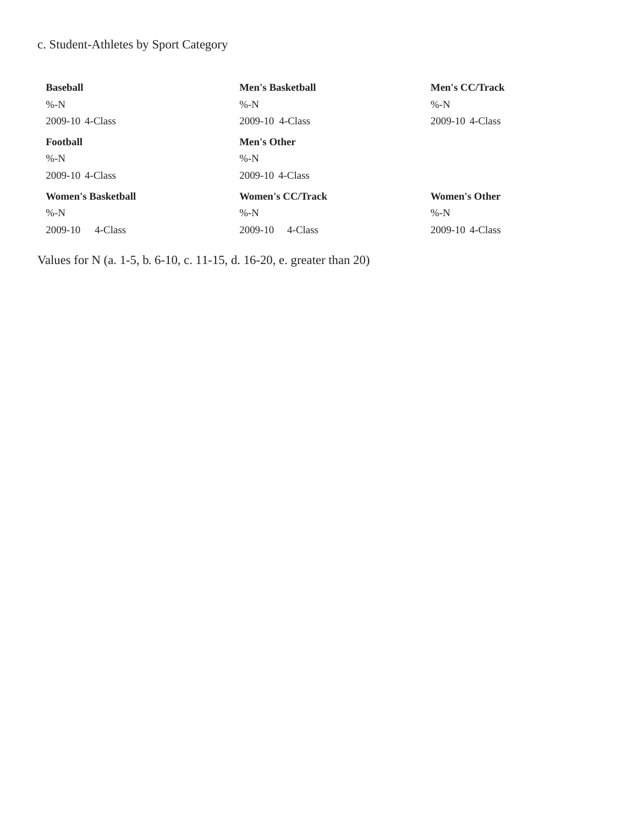# c. Student-Athletes by Sport Category

| <b>Baseball</b>           | <b>Men's Basketball</b> | <b>Men's CC/Track</b> |
|---------------------------|-------------------------|-----------------------|
| $% -N$                    | $% -N$                  | $% -N$                |
| 2009-10 4-Class           | 2009-10 4-Class         | 2009-10 4-Class       |
| Football                  | <b>Men's Other</b>      |                       |
| $% -N$                    | $% -N$                  |                       |
| 2009-10 4-Class           | 2009-10 4-Class         |                       |
| <b>Women's Basketball</b> | <b>Women's CC/Track</b> | <b>Women's Other</b>  |
| %- $N$                    | $% -N$                  | $% -N$                |
| 2009-10<br>4-Class        | 2009-10<br>4-Class      | 2009-10 4-Class       |

Values for N (a. 1-5, b. 6-10, c. 11-15, d. 16-20, e. greater than 20)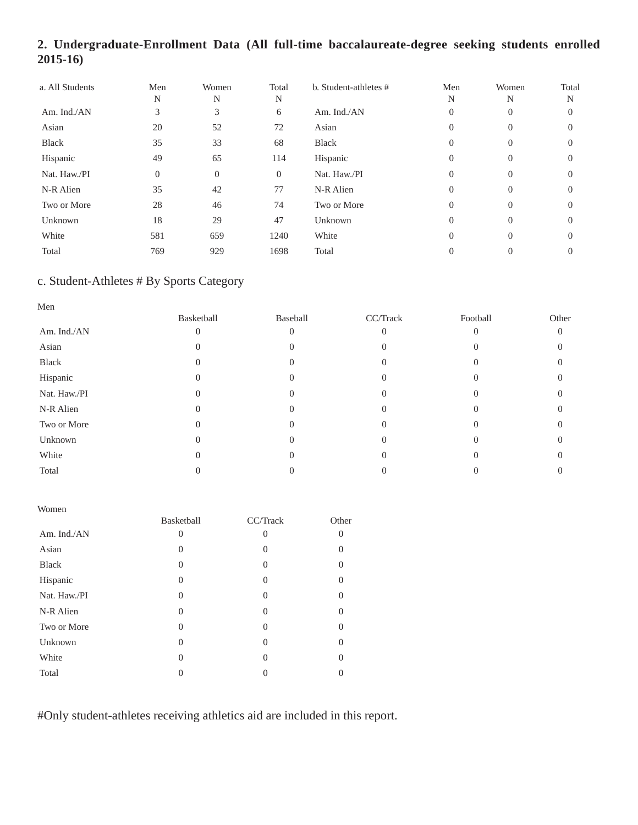# **2. Undergraduate-Enrollment Data (All full-time baccalaureate-degree seeking students enrolled 2015-16)**

| a. All Students | Men<br>N       | Women<br>N     | Total<br>N     | b. Student-athletes # | Men<br>N       | Women<br>N     | Total<br>N |
|-----------------|----------------|----------------|----------------|-----------------------|----------------|----------------|------------|
| Am. Ind./AN     | 3              | 3              | 6              | Am. Ind./AN           | $\overline{0}$ | 0              | 0          |
| Asian           | 20             | 52             | 72             | Asian                 | $\Omega$       | $\Omega$       | $\Omega$   |
| <b>Black</b>    | 35             | 33             | 68             | Black                 | $\Omega$       | $\Omega$       | $\Omega$   |
| Hispanic        | 49             | 65             | 114            | Hispanic              | $\Omega$       | $\Omega$       | $\Omega$   |
| Nat. Haw./PI    | $\overline{0}$ | $\overline{0}$ | $\overline{0}$ | Nat. Haw./PI          | $\Omega$       | $\overline{0}$ | 0          |
| N-R Alien       | 35             | 42             | 77             | N-R Alien             | $\Omega$       | $\Omega$       | $\Omega$   |
| Two or More     | 28             | 46             | 74             | Two or More           | $\Omega$       | $\Omega$       | $\Omega$   |
| Unknown         | 18             | 29             | 47             | Unknown               | $\Omega$       | $\Omega$       | $\Omega$   |
| White           | 581            | 659            | 1240           | White                 | $\Omega$       | $\Omega$       | $\Omega$   |
| Total           | 769            | 929            | 1698           | Total                 | $\Omega$       | $\theta$       | $\Omega$   |

# c. Student-Athletes # By Sports Category

| Men          |            |          |          |          |          |
|--------------|------------|----------|----------|----------|----------|
|              | Basketball | Baseball | CC/Track | Football | Other    |
| Am. Ind./AN  |            |          |          |          | $\Omega$ |
| Asian        |            |          |          |          |          |
| Black        |            |          |          |          |          |
| Hispanic     |            |          |          |          |          |
| Nat. Haw./PI |            |          |          |          |          |
| N-R Alien    |            |          |          |          |          |
| Two or More  |            |          |          |          |          |
| Unknown      |            |          |          |          |          |
| White        |            |          |          |          |          |
| Total        |            |          |          |          |          |

#### Women

|              | Basketball | CC/Track | Other             |
|--------------|------------|----------|-------------------|
| Am. Ind./AN  | $\Omega$   | $\Omega$ | 0                 |
| Asian        | $\theta$   | 0        |                   |
| <b>Black</b> | 0          | $\Omega$ | 0                 |
| Hispanic     | 0          | $\Omega$ | 0                 |
| Nat. Haw./PI | 0          | $\Omega$ |                   |
| N-R Alien    | 0          | $\Omega$ | $\mathbf{\Omega}$ |
| Two or More  | 0          | $\Omega$ |                   |
| Unknown      | 0          | $\Omega$ | $\mathbf{\Omega}$ |
| White        | 0          | $\Omega$ |                   |
| Total        |            |          |                   |

#Only student-athletes receiving athletics aid are included in this report.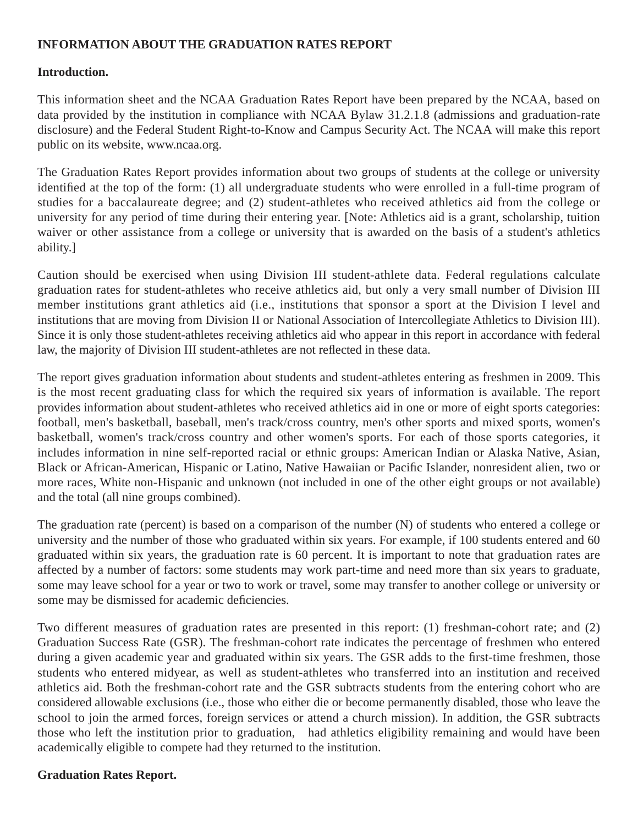### **INFORMATION ABOUT THE GRADUATION RATES REPORT**

#### **Introduction.**

This information sheet and the NCAA Graduation Rates Report have been prepared by the NCAA, based on data provided by the institution in compliance with NCAA Bylaw 31.2.1.8 (admissions and graduation-rate disclosure) and the Federal Student Right-to-Know and Campus Security Act. The NCAA will make this report public on its website, www.ncaa.org.

The Graduation Rates Report provides information about two groups of students at the college or university identified at the top of the form: (1) all undergraduate students who were enrolled in a full-time program of studies for a baccalaureate degree; and (2) student-athletes who received athletics aid from the college or university for any period of time during their entering year. [Note: Athletics aid is a grant, scholarship, tuition waiver or other assistance from a college or university that is awarded on the basis of a student's athletics ability.]

Caution should be exercised when using Division III student-athlete data. Federal regulations calculate graduation rates for student-athletes who receive athletics aid, but only a very small number of Division III member institutions grant athletics aid (i.e., institutions that sponsor a sport at the Division I level and institutions that are moving from Division II or National Association of Intercollegiate Athletics to Division III). Since it is only those student-athletes receiving athletics aid who appear in this report in accordance with federal law, the majority of Division III student-athletes are not reflected in these data.

The report gives graduation information about students and student-athletes entering as freshmen in 2009. This is the most recent graduating class for which the required six years of information is available. The report provides information about student-athletes who received athletics aid in one or more of eight sports categories: football, men's basketball, baseball, men's track/cross country, men's other sports and mixed sports, women's basketball, women's track/cross country and other women's sports. For each of those sports categories, it includes information in nine self-reported racial or ethnic groups: American Indian or Alaska Native, Asian, Black or African-American, Hispanic or Latino, Native Hawaiian or Pacific Islander, nonresident alien, two or more races, White non-Hispanic and unknown (not included in one of the other eight groups or not available) and the total (all nine groups combined).

The graduation rate (percent) is based on a comparison of the number (N) of students who entered a college or university and the number of those who graduated within six years. For example, if 100 students entered and 60 graduated within six years, the graduation rate is 60 percent. It is important to note that graduation rates are affected by a number of factors: some students may work part-time and need more than six years to graduate, some may leave school for a year or two to work or travel, some may transfer to another college or university or some may be dismissed for academic deficiencies.

Two different measures of graduation rates are presented in this report: (1) freshman-cohort rate; and (2) Graduation Success Rate (GSR). The freshman-cohort rate indicates the percentage of freshmen who entered during a given academic year and graduated within six years. The GSR adds to the first-time freshmen, those students who entered midyear, as well as student-athletes who transferred into an institution and received athletics aid. Both the freshman-cohort rate and the GSR subtracts students from the entering cohort who are considered allowable exclusions (i.e., those who either die or become permanently disabled, those who leave the school to join the armed forces, foreign services or attend a church mission). In addition, the GSR subtracts those who left the institution prior to graduation, had athletics eligibility remaining and would have been academically eligible to compete had they returned to the institution.

#### **Graduation Rates Report.**